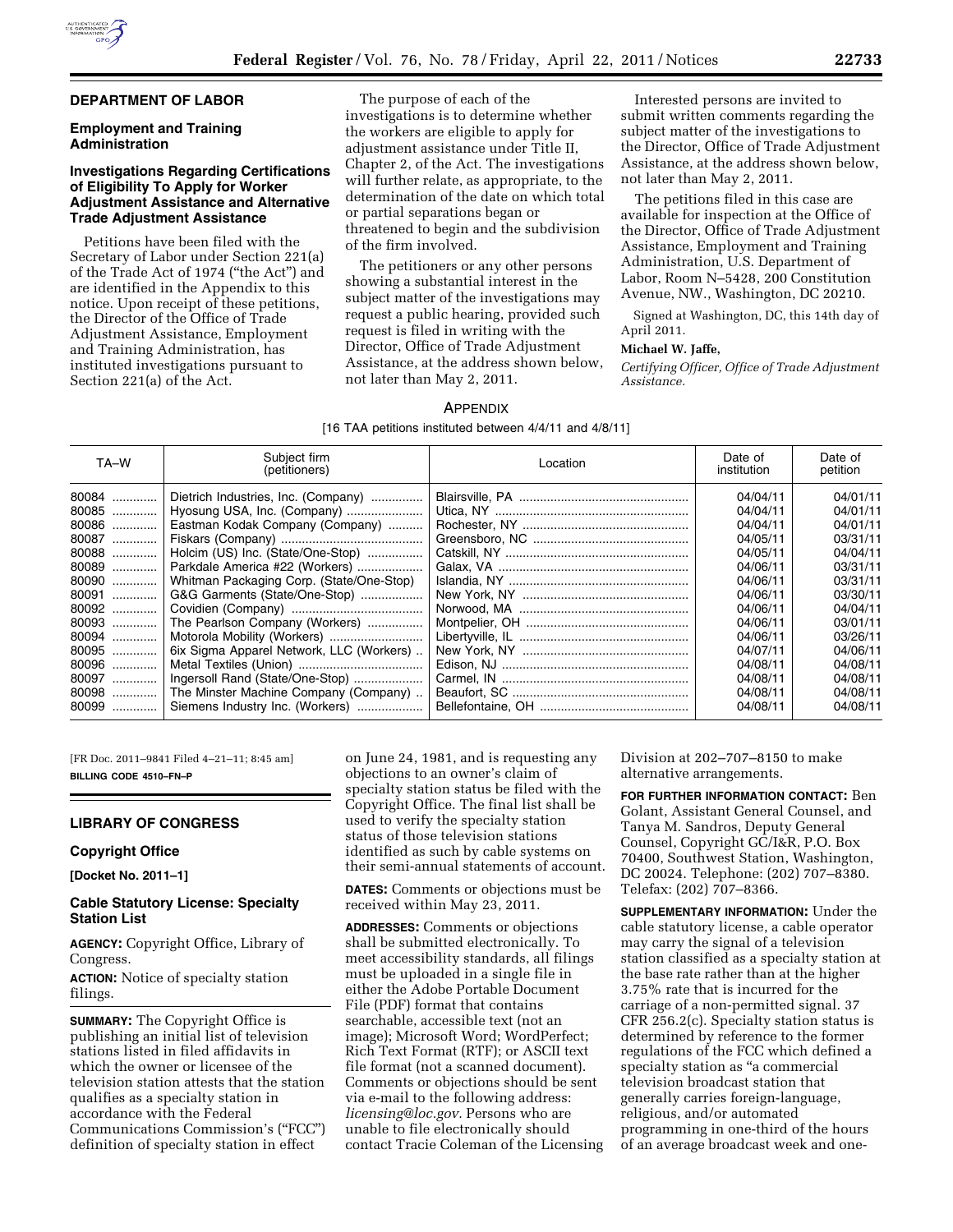# **DEPARTMENT OF LABOR**

# **Employment and Training Administration**

# **Investigations Regarding Certifications of Eligibility To Apply for Worker Adjustment Assistance and Alternative Trade Adjustment Assistance**

Petitions have been filed with the Secretary of Labor under Section 221(a) of the Trade Act of 1974 (''the Act'') and are identified in the Appendix to this notice. Upon receipt of these petitions, the Director of the Office of Trade Adjustment Assistance, Employment and Training Administration, has instituted investigations pursuant to Section 221(a) of the Act.

The purpose of each of the investigations is to determine whether the workers are eligible to apply for adjustment assistance under Title II, Chapter 2, of the Act. The investigations will further relate, as appropriate, to the determination of the date on which total or partial separations began or threatened to begin and the subdivision of the firm involved.

The petitioners or any other persons showing a substantial interest in the subject matter of the investigations may request a public hearing, provided such request is filed in writing with the Director, Office of Trade Adjustment Assistance, at the address shown below, not later than May 2, 2011.

Interested persons are invited to submit written comments regarding the subject matter of the investigations to the Director, Office of Trade Adjustment Assistance, at the address shown below, not later than May 2, 2011.

The petitions filed in this case are available for inspection at the Office of the Director, Office of Trade Adjustment Assistance, Employment and Training Administration, U.S. Department of Labor, Room N–5428, 200 Constitution Avenue, NW., Washington, DC 20210.

Signed at Washington, DC, this 14th day of April 2011.

## **Michael W. Jaffe,**

*Certifying Officer, Office of Trade Adjustment Assistance.* 

#### APPENDIX

[16 TAA petitions instituted between 4/4/11 and 4/8/11]

| TA-W  | Subject firm<br>(petitioners)            | Location | Date of<br>institution | Date of<br>petition |
|-------|------------------------------------------|----------|------------------------|---------------------|
| 80084 | Dietrich Industries, Inc. (Company)      |          | 04/04/11               | 04/01/11            |
| 80085 | Hyosung USA, Inc. (Company)              |          | 04/04/11               | 04/01/11            |
| 80086 | Eastman Kodak Company (Company)          |          | 04/04/11               | 04/01/11            |
| 80087 |                                          |          | 04/05/11               | 03/31/11            |
| 80088 | Holcim (US) Inc. (State/One-Stop)        |          | 04/05/11               | 04/04/11            |
| 80089 | Parkdale America #22 (Workers)           |          | 04/06/11               | 03/31/11            |
| 80090 | Whitman Packaging Corp. (State/One-Stop) |          | 04/06/11               | 03/31/11            |
| 80091 | G&G Garments (State/One-Stop)            |          | 04/06/11               | 03/30/11            |
| 80092 |                                          |          | 04/06/11               | 04/04/11            |
| 80093 | The Pearlson Company (Workers)           |          | 04/06/11               | 03/01/11            |
| 80094 |                                          |          | 04/06/11               | 03/26/11            |
| 80095 | 6ix Sigma Apparel Network, LLC (Workers) |          | 04/07/11               | 04/06/11            |
| 80096 |                                          |          | 04/08/11               | 04/08/11            |
| 80097 | Ingersoll Rand (State/One-Stop)          |          | 04/08/11               | 04/08/11            |
| 80098 | The Minster Machine Company (Company)    |          | 04/08/11               | 04/08/11            |
|       | Siemens Industry Inc. (Workers)          |          | 04/08/11               | 04/08/11            |

[FR Doc. 2011–9841 Filed 4–21–11; 8:45 am] **BILLING CODE 4510–FN–P** 

## **LIBRARY OF CONGRESS**

#### **Copyright Office**

**[Docket No. 2011–1]** 

### **Cable Statutory License: Specialty Station List**

**AGENCY:** Copyright Office, Library of Congress.

**ACTION:** Notice of specialty station filings.

**SUMMARY:** The Copyright Office is publishing an initial list of television stations listed in filed affidavits in which the owner or licensee of the television station attests that the station qualifies as a specialty station in accordance with the Federal Communications Commission's (''FCC'') definition of specialty station in effect

on June 24, 1981, and is requesting any objections to an owner's claim of specialty station status be filed with the Copyright Office. The final list shall be used to verify the specialty station status of those television stations identified as such by cable systems on their semi-annual statements of account.

**DATES:** Comments or objections must be received within May 23, 2011.

**ADDRESSES:** Comments or objections shall be submitted electronically. To meet accessibility standards, all filings must be uploaded in a single file in either the Adobe Portable Document File (PDF) format that contains searchable, accessible text (not an image); Microsoft Word; WordPerfect; Rich Text Format (RTF); or ASCII text file format (not a scanned document). Comments or objections should be sent via e-mail to the following address: *[licensing@loc.gov.](mailto:licensing@loc.gov)* Persons who are unable to file electronically should contact Tracie Coleman of the Licensing Division at 202–707–8150 to make alternative arrangements.

**FOR FURTHER INFORMATION CONTACT:** Ben Golant, Assistant General Counsel, and Tanya M. Sandros, Deputy General Counsel, Copyright GC/I&R, P.O. Box 70400, Southwest Station, Washington, DC 20024. Telephone: (202) 707–8380. Telefax: (202) 707–8366.

**SUPPLEMENTARY INFORMATION:** Under the cable statutory license, a cable operator may carry the signal of a television station classified as a specialty station at the base rate rather than at the higher 3.75% rate that is incurred for the carriage of a non-permitted signal. 37 CFR 256.2(c). Specialty station status is determined by reference to the former regulations of the FCC which defined a specialty station as ''a commercial television broadcast station that generally carries foreign-language, religious, and/or automated programming in one-third of the hours of an average broadcast week and one